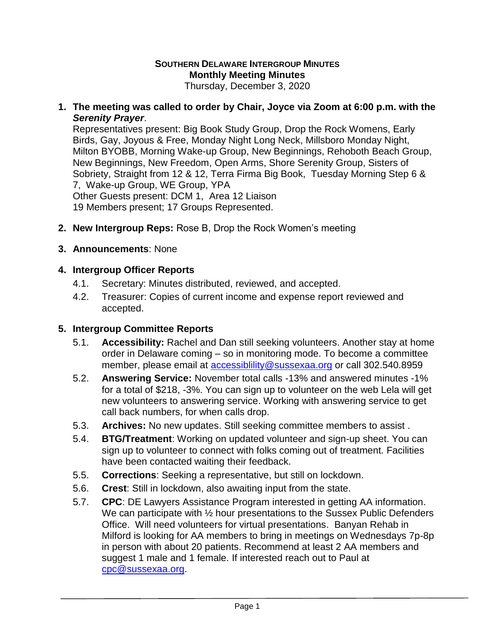#### **SOUTHERN DELAWARE INTERGROUP MINUTES Monthly Meeting Minutes** Thursday, December 3, 2020

**1. The meeting was called to order by Chair, Joyce via Zoom at 6:00 p.m. with the**  *Serenity Prayer*.

Representatives present: Big Book Study Group, Drop the Rock Womens, Early Birds, Gay, Joyous & Free, Monday Night Long Neck, Millsboro Monday Night, Milton BYOBB, Morning Wake-up Group, New Beginnings, Rehoboth Beach Group, New Beginnings, New Freedom, Open Arms, Shore Serenity Group, Sisters of Sobriety, Straight from 12 & 12, Terra Firma Big Book, Tuesday Morning Step 6 & 7, Wake-up Group, WE Group, YPA

Other Guests present: DCM 1, Area 12 Liaison

19 Members present; 17 Groups Represented.

- **2. New Intergroup Reps:** Rose B, Drop the Rock Women's meeting
- **3. Announcements**: None

### **4. Intergroup Officer Reports**

- 4.1. Secretary: Minutes distributed, reviewed, and accepted.
- 4.2. Treasurer: Copies of current income and expense report reviewed and accepted.

## **5. Intergroup Committee Reports**

- 5.1. **Accessibility:** Rachel and Dan still seeking volunteers. Another stay at home order in Delaware coming – so in monitoring mode. To become a committee member, please email at [accessiblility@sussexaa.org](mailto:accessiblility@sussexaa.org) or call 302.540.8959
- 5.2. **Answering Service:** November total calls -13% and answered minutes -1% for a total of \$218, -3%. You can sign up to volunteer on the web Lela will get new volunteers to answering service. Working with answering service to get call back numbers, for when calls drop.
- 5.3. **Archives:** No new updates. Still seeking committee members to assist .
- 5.4. **BTG/Treatment**: Working on updated volunteer and sign-up sheet. You can sign up to volunteer to connect with folks coming out of treatment. Facilities have been contacted waiting their feedback.
- 5.5. **Corrections**: Seeking a representative, but still on lockdown.
- 5.6. **Crest**: Still in lockdown, also awaiting input from the state.
- 5.7. **CPC**: DE Lawyers Assistance Program interested in getting AA information. We can participate with  $\frac{1}{2}$  hour presentations to the Sussex Public Defenders Office. Will need volunteers for virtual presentations. Banyan Rehab in Milford is looking for AA members to bring in meetings on Wednesdays 7p-8p in person with about 20 patients. Recommend at least 2 AA members and suggest 1 male and 1 female. If interested reach out to Paul at [cpc@sussexaa.org.](mailto:cpc@sussexaa.org)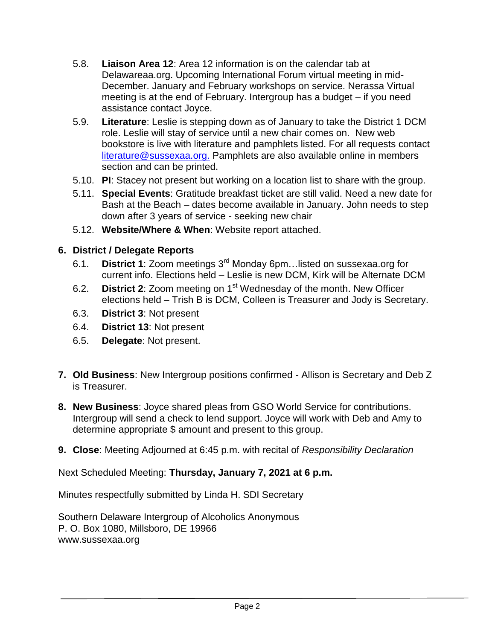- 5.8. **Liaison Area 12**: Area 12 information is on the calendar tab at Delawareaa.org. Upcoming International Forum virtual meeting in mid-December. January and February workshops on service. Nerassa Virtual meeting is at the end of February. Intergroup has a budget – if you need assistance contact Joyce.
- 5.9. **Literature**: Leslie is stepping down as of January to take the District 1 DCM role. Leslie will stay of service until a new chair comes on. New web bookstore is live with literature and pamphlets listed. For all requests contact [literature@sussexaa.org.](mailto:literature@sussexaa.org.) Pamphlets are also available online in members section and can be printed.
- 5.10. **PI**: Stacey not present but working on a location list to share with the group.
- 5.11. **Special Events**: Gratitude breakfast ticket are still valid. Need a new date for Bash at the Beach – dates become available in January. John needs to step down after 3 years of service - seeking new chair
- 5.12. **Website/Where & When**: Website report attached.

# **6. District / Delegate Reports**

- 6.1. **District 1**: Zoom meetings 3rd Monday 6pm…listed on sussexaa.org for current info. Elections held – Leslie is new DCM, Kirk will be Alternate DCM
- 6.2. **District 2**: Zoom meeting on 1<sup>st</sup> Wednesday of the month. New Officer elections held – Trish B is DCM, Colleen is Treasurer and Jody is Secretary.
- 6.3. **District 3**: Not present
- 6.4. **District 13**: Not present
- 6.5. **Delegate**: Not present.
- **7. Old Business**: New Intergroup positions confirmed Allison is Secretary and Deb Z is Treasurer.
- **8. New Business**: Joyce shared pleas from GSO World Service for contributions. Intergroup will send a check to lend support. Joyce will work with Deb and Amy to determine appropriate \$ amount and present to this group.
- **9. Close**: Meeting Adjourned at 6:45 p.m. with recital of *Responsibility Declaration*

Next Scheduled Meeting: **Thursday, January 7, 2021 at 6 p.m.**

Minutes respectfully submitted by Linda H. SDI Secretary

Southern Delaware Intergroup of Alcoholics Anonymous P. O. Box 1080, Millsboro, DE 19966 www.sussexaa.org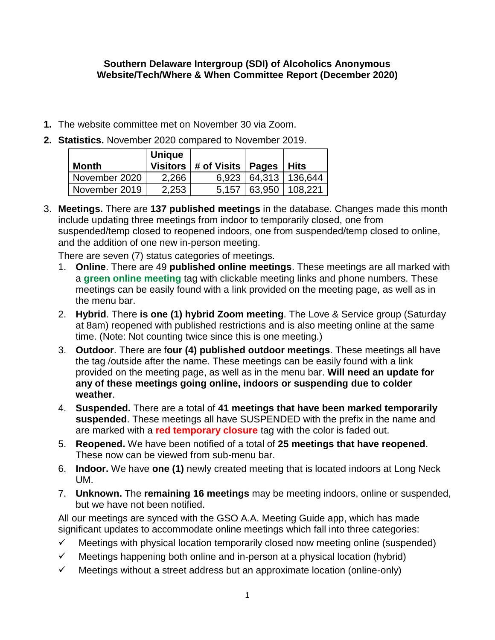#### **Southern Delaware Intergroup (SDI) of Alcoholics Anonymous Website/Tech/Where & When Committee Report (December 2020)**

- **1.** The website committee met on November 30 via Zoom.
- **2. Statistics.** November 2020 compared to November 2019.

| Month         | <b>Unique</b> | Visitors $ #$ of Visits $ $ Pages |        | Hits                     |
|---------------|---------------|-----------------------------------|--------|--------------------------|
| November 2020 | 2,266         |                                   |        | 6,923   64,313   136,644 |
| November 2019 | 2,253         | 5.157                             | 63,950 | 108.221                  |

3. **Meetings.** There are **137 published meetings** in the database. Changes made this month include updating three meetings from indoor to temporarily closed, one from suspended/temp closed to reopened indoors, one from suspended/temp closed to online, and the addition of one new in-person meeting.

There are seven (7) status categories of meetings.

- 1. **Online**. There are 49 **published online meetings**. These meetings are all marked with a **green online meeting** tag with clickable meeting links and phone numbers. These meetings can be easily found with a link provided on the meeting page, as well as in the menu bar.
- 2. **Hybrid**. There **is one (1) hybrid Zoom meeting**. The Love & Service group (Saturday at 8am) reopened with published restrictions and is also meeting online at the same time. (Note: Not counting twice since this is one meeting.)
- 3. **Outdoor**. There are f**our (4) published outdoor meetings**. These meetings all have the tag /outside after the name. These meetings can be easily found with a link provided on the meeting page, as well as in the menu bar. **Will need an update for any of these meetings going online, indoors or suspending due to colder weather**.
- 4. **Suspended.** There are a total of **41 meetings that have been marked temporarily suspended**. These meetings all have SUSPENDED with the prefix in the name and are marked with a **red temporary closure** tag with the color is faded out.
- 5. **Reopened.** We have been notified of a total of **25 meetings that have reopened**. These now can be viewed from sub-menu bar.
- 6. **Indoor.** We have **one (1)** newly created meeting that is located indoors at Long Neck UM.
- 7. **Unknown.** The **remaining 16 meetings** may be meeting indoors, online or suspended, but we have not been notified.

All our meetings are synced with the GSO A.A. Meeting Guide app, which has made significant updates to accommodate online meetings which fall into three categories:

- $\checkmark$  Meetings with physical location temporarily closed now meeting online (suspended)
- $\checkmark$  Meetings happening both online and in-person at a physical location (hybrid)
- $\checkmark$  Meetings without a street address but an approximate location (online-only)